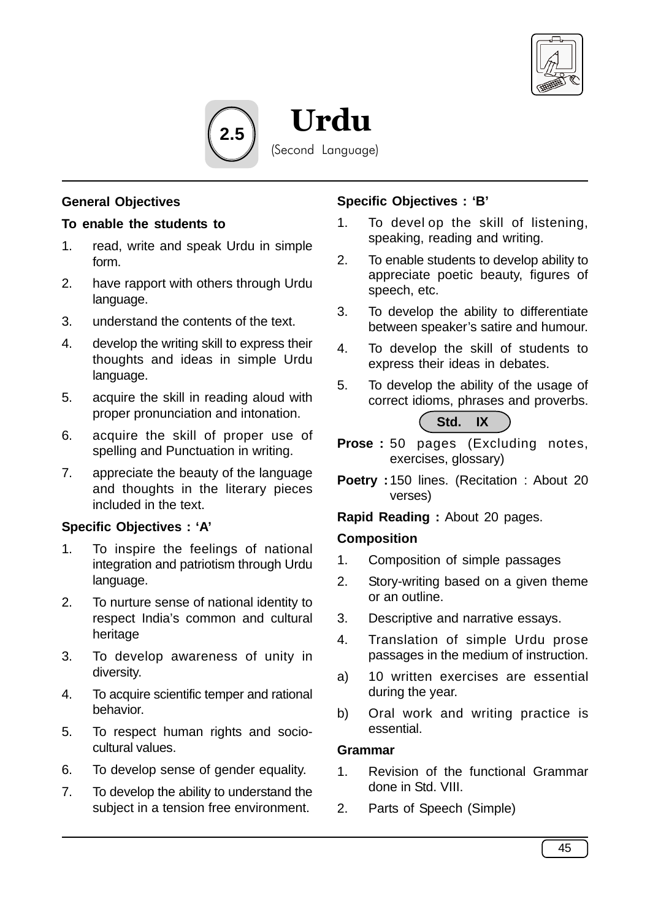

**2.5**

(Second Language)

Urdu

# **General Objectives**

## **To enable the students to**

- 1. read, write and speak Urdu in simple form.
- 2. have rapport with others through Urdu language.
- 3. understand the contents of the text.
- 4. develop the writing skill to express their thoughts and ideas in simple Urdu language.
- 5. acquire the skill in reading aloud with proper pronunciation and intonation.
- 6. acquire the skill of proper use of spelling and Punctuation in writing.
- 7. appreciate the beauty of the language and thoughts in the literary pieces included in the text.

# **Specific Objectives : 'A'**

- 1. To inspire the feelings of national integration and patriotism through Urdu language.
- 2. To nurture sense of national identity to respect India's common and cultural heritage
- 3. To develop awareness of unity in diversity.
- 4. To acquire scientific temper and rational behavior.
- 5. To respect human rights and sociocultural values.
- 6. To develop sense of gender equality.
- 7. To develop the ability to understand the subject in a tension free environment.

## **Specific Objectives : 'B'**

- 1. To devel op the skill of listening, speaking, reading and writing.
- 2. To enable students to develop ability to appreciate poetic beauty, figures of speech, etc.
- 3. To develop the ability to differentiate between speaker's satire and humour.
- 4. To develop the skill of students to express their ideas in debates.
- 5. To develop the ability of the usage of correct idioms, phrases and proverbs.



- **Prose :** 50 pages (Excluding notes, exercises, glossary)
- **Poetry :** 150 lines. (Recitation : About 20 verses)

**Rapid Reading :** About 20 pages.

#### **Composition**

- 1. Composition of simple passages
- 2. Story-writing based on a given theme or an outline.
- 3. Descriptive and narrative essays.
- 4. Translation of simple Urdu prose passages in the medium of instruction.
- a) 10 written exercises are essential during the year.
- b) Oral work and writing practice is essential.

## **Grammar**

- 1. Revision of the functional Grammar done in Std. VIII.
- 2. Parts of Speech (Simple)